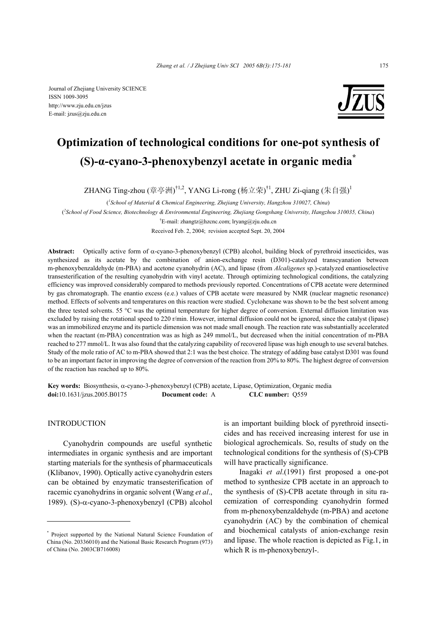Journal of Zhejiang University SCIENCE ISSN 1009-3095 http://www.zju.edu.cn/jzus E-mail: jzus@zju.edu.cn



# **Optimization of technological conditions for one-pot synthesis of (S)-α-cyano-3-phenoxybenzyl acetate in organic media\***

ZHANG Ting-zhou (章亭洲)<sup>†1,2</sup>, YANG Li-rong (杨立荣)<sup>†1</sup>, ZHU Zi-qiang (朱自强)<sup>1</sup>

( *1 School of Material & Chemical Engineering, Zhejiang University, Hangzhou 310027, China*) ( *2 School of Food Science, Biotechnology & Environmental Engineering, Zhejiang Gongshang University, Hangzhou 310035, China*) † E-mail: zhangtz@hzcnc.com; lryang@zju.edu.cn

Received Feb. 2, 2004; revision accepted Sept. 20, 2004

**Abstract:** Optically active form of α-cyano-3-phenoxybenzyl (CPB) alcohol, building block of pyrethroid insecticides, was synthesized as its acetate by the combination of anion-exchange resin (D301)-catalyzed transcyanation between m-phenoxybenzaldehyde (m-PBA) and acetone cyanohydrin (AC), and lipase (from *Alcaligenes* sp.)-catalyzed enantioselective transesterification of the resulting cyanohydrin with vinyl acetate. Through optimizing technological conditions, the catalyzing efficiency was improved considerably compared to methods previously reported. Concentrations of CPB acetate were determined by gas chromatograph. The enantio excess (e.e.) values of CPB acetate were measured by NMR (nuclear magnetic resonance) method. Effects of solvents and temperatures on this reaction were studied. Cyclohexane was shown to be the best solvent among the three tested solvents. 55 °C was the optimal temperature for higher degree of conversion. External diffusion limitation was excluded by raising the rotational speed to 220 r/min. However, internal diffusion could not be ignored, since the catalyst (lipase) was an immobilized enzyme and its particle dimension was not made small enough. The reaction rate was substantially accelerated when the reactant (m-PBA) concentration was as high as 249 mmol/L, but decreased when the initial concentration of m-PBA reached to 277 mmol/L. It was also found that the catalyzing capability of recovered lipase was high enough to use several batches. Study of the mole ratio of AC to m-PBA showed that 2:1 was the best choice. The strategy of adding base catalyst D301 was found to be an important factor in improving the degree of conversion of the reaction from 20% to 80%. The highest degree of conversion of the reaction has reached up to 80%.

**Key words:** Biosynthesis, α-cyano-3-phenoxybenzyl (CPB) acetate, Lipase, Optimization, Organic media **doi:**10.1631/jzus.2005.B0175 **Document code:** A **CLC number:** Q559

## **INTRODUCTION**

Cyanohydrin compounds are useful synthetic intermediates in organic synthesis and are important starting materials for the synthesis of pharmaceuticals (Klibanov, 1990). Optically active cyanohydrin esters can be obtained by enzymatic transesterification of racemic cyanohydrins in organic solvent (Wang *et al*., 1989). (S)-α-cyano-3-phenoxybenzyl (CPB) alcohol

is an important building block of pyrethroid insecticides and has received increasing interest for use in biological agrochemicals. So, results of study on the technological conditions for the synthesis of (S)-CPB will have practically significance.

Inagaki *et al*.(1991) first proposed a one-pot method to synthesize CPB acetate in an approach to the synthesis of (S)-CPB acetate through in situ racemization of corresponding cyanohydrin formed from m-phenoxybenzaldehyde (m-PBA) and acetone cyanohydrin (AC) by the combination of chemical and biochemical catalysts of anion-exchange resin and lipase. The whole reaction is depicted as Fig.1, in which R is m-phenoxybenzyl-.

<sup>\*</sup> Project supported by the National Natural Science Foundation of China (No. 20336010) and the National Basic Research Program (973) of China (No. 2003CB716008)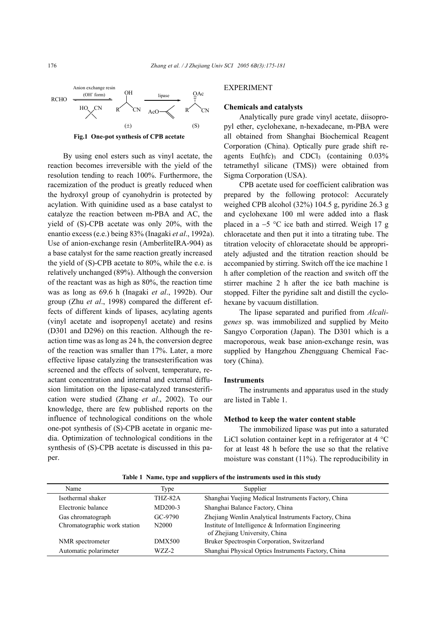

**Fig.1 One-pot synthesis of CPB acetate** 

By using enol esters such as vinyl acetate, the reaction becomes irreversible with the yield of the resolution tending to reach 100%. Furthermore, the racemization of the product is greatly reduced when the hydroxyl group of cyanohydrin is protected by acylation. With quinidine used as a base catalyst to catalyze the reaction between m-PBA and AC, the yield of (S)-CPB acetate was only 20%, with the enantio excess (e.e.) being 83% (Inagaki *et al*., 1992a). Use of anion-exchange resin (AmberliteIRA-904) as a base catalyst for the same reaction greatly increased the yield of (S)-CPB acetate to 80%, while the e.e. is relatively unchanged (89%). Although the conversion of the reactant was as high as 80%, the reaction time was as long as 69.6 h (Inagaki *et al*., 1992b). Our group (Zhu *et al*., 1998) compared the different effects of different kinds of lipases, acylating agents (vinyl acetate and isopropenyl acetate) and resins (D301 and D296) on this reaction. Although the reaction time was as long as 24 h, the conversion degree of the reaction was smaller than 17%. Later, a more effective lipase catalyzing the transesterification was screened and the effects of solvent, temperature, reactant concentration and internal and external diffusion limitation on the lipase-catalyzed transesterification were studied (Zhang *et al*., 2002). To our knowledge, there are few published reports on the influence of technological conditions on the whole one-pot synthesis of (S)-CPB acetate in organic media. Optimization of technological conditions in the synthesis of (S)-CPB acetate is discussed in this paper.

## EXPERIMENT

### **Chemicals and catalysts**

Analytically pure grade vinyl acetate, diisopropyl ether, cyclohexane, n-hexadecane, m-PBA were all obtained from Shanghai Biochemical Reagent Corporation (China). Optically pure grade shift reagents  $Eu(hfc)$ <sub>3</sub> and  $CDCl<sub>3</sub>$  (containing 0.03%) tetramethyl silicane (TMS)) were obtained from Sigma Corporation (USA).

CPB acetate used for coefficient calibration was prepared by the following protocol: Accurately weighed CPB alcohol (32%) 104.5 g, pyridine 26.3 g and cyclohexane 100 ml were added into a flask placed in a −5 °C ice bath and stirred. Weigh 17 g chloracetate and then put it into a titrating tube. The titration velocity of chloracetate should be appropriately adjusted and the titration reaction should be accompanied by stirring. Switch off the ice machine 1 h after completion of the reaction and switch off the stirrer machine 2 h after the ice bath machine is stopped. Filter the pyridine salt and distill the cyclohexane by vacuum distillation.

The lipase separated and purified from *Alcaligenes* sp. was immobilized and supplied by Meito Sangyo Corporation (Japan). The D301 which is a macroporous, weak base anion-exchange resin, was supplied by Hangzhou Zhengguang Chemical Factory (China).

#### **Instruments**

The instruments and apparatus used in the study are listed in Table 1.

#### **Method to keep the water content stable**

The immobilized lipase was put into a saturated LiCl solution container kept in a refrigerator at 4 °C for at least 48 h before the use so that the relative moisture was constant (11%). The reproducibility in

**Table 1 Name, type and suppliers of the instruments used in this study** 

| Name                         | Type              | Supplier                                                                             |
|------------------------------|-------------------|--------------------------------------------------------------------------------------|
| Isothermal shaker            | THZ-82A           | Shanghai Yuejing Medical Instruments Factory, China                                  |
| Electronic balance           | $MD200-3$         | Shanghai Balance Factory, China                                                      |
| Gas chromatograph            | $GC-9790$         | Zhejiang Wenlin Analytical Instruments Factory, China                                |
| Chromatographic work station | N <sub>2000</sub> | Institute of Intelligence & Information Engineering<br>of Zhejiang University, China |
| NMR spectrometer             | DMX500            | Bruker Spectrospin Corporation, Switzerland                                          |
| Automatic polarimeter        | $WZZ-2$           | Shanghai Physical Optics Instruments Factory, China                                  |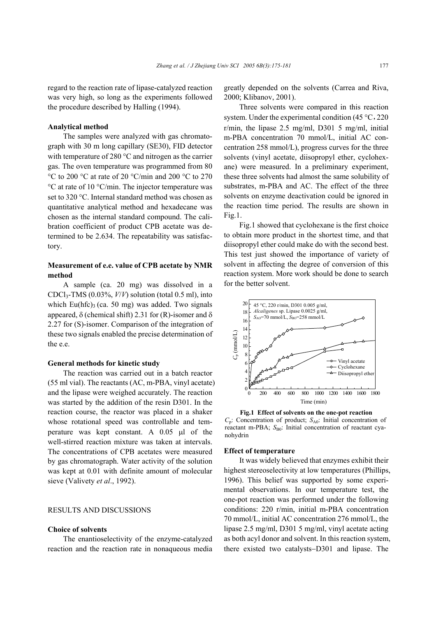regard to the reaction rate of lipase-catalyzed reaction was very high, so long as the experiments followed the procedure described by Halling (1994).

## **Analytical method**

The samples were analyzed with gas chromatograph with 30 m long capillary (SE30), FID detector with temperature of 280 °C and nitrogen as the carrier gas. The oven temperature was programmed from 80 °C to 200 °C at rate of 20 °C/min and 200 °C to 270 °C at rate of 10 °C/min. The injector temperature was set to 320 °C. Internal standard method was chosen as quantitative analytical method and hexadecane was chosen as the internal standard compound. The calibration coefficient of product CPB acetate was determined to be 2.634. The repeatability was satisfactory.

## **Measurement of e.e. value of CPB acetate by NMR method**

A sample (ca. 20 mg) was dissolved in a CDCl3-TMS (0.03%, *V*/*V*) solution (total 0.5 ml), into which Eu(hfc)<sub>3</sub> (ca. 50 mg) was added. Two signals appeared, δ (chemical shift) 2.31 for (R)-isomer and δ 2.27 for (S)-isomer. Comparison of the integration of these two signals enabled the precise determination of the e.e.

#### **General methods for kinetic study**

The reaction was carried out in a batch reactor (55 ml vial). The reactants (AC, m-PBA, vinyl acetate) and the lipase were weighed accurately. The reaction was started by the addition of the resin D301. In the reaction course, the reactor was placed in a shaker whose rotational speed was controllable and temperature was kept constant. A 0.05 µl of the well-stirred reaction mixture was taken at intervals. The concentrations of CPB acetates were measured by gas chromatograph. Water activity of the solution was kept at 0.01 with definite amount of molecular sieve (Valivety *et al*., 1992).

## RESULTS AND DISCUSSIONS

## **Choice of solvents**

The enantioselectivity of the enzyme-catalyzed reaction and the reaction rate in nonaqueous media

greatly depended on the solvents (Carrea and Riva, 2000; Klibanov, 2001).

Three solvents were compared in this reaction system. Under the experimental condition  $(45 °C, 220)$ r/min, the lipase 2.5 mg/ml, D301 5 mg/ml, initial m-PBA concentration 70 mmol/L, initial AC concentration 258 mmol/L), progress curves for the three solvents (vinyl acetate, diisopropyl ether, cyclohexane) were measured. In a preliminary experiment, these three solvents had almost the same solubility of substrates, m-PBA and AC. The effect of the three solvents on enzyme deactivation could be ignored in the reaction time period. The results are shown in Fig.1.

Fig.1 showed that cyclohexane is the first choice to obtain more product in the shortest time, and that diisopropyl ether could make do with the second best. This test just showed the importance of variety of solvent in affecting the degree of conversion of this reaction system. More work should be done to search for the better solvent.



**Fig.1 Effect of solvents on the one-pot reaction**  *C*<sub>p</sub>: Concentration of product; *S*<sub>A0</sub>: Initial concentration of reactant m-PBA;  $S_{B0}$ : Initial concentration of reactant cyanohydrin

#### **Effect of temperature**

It was widely believed that enzymes exhibit their highest stereoselectivity at low temperatures (Phillips, 1996). This belief was supported by some experimental observations. In our temperature test, the one-pot reaction was performed under the following conditions: 220 r/min, initial m-PBA concentration 70 mmol/L, initial AC concentration 276 mmol/L, the lipase 2.5 mg/ml, D301 5 mg/ml, vinyl acetate acting as both acyl donor and solvent. In this reaction system, there existed two catalysts−D301 and lipase. The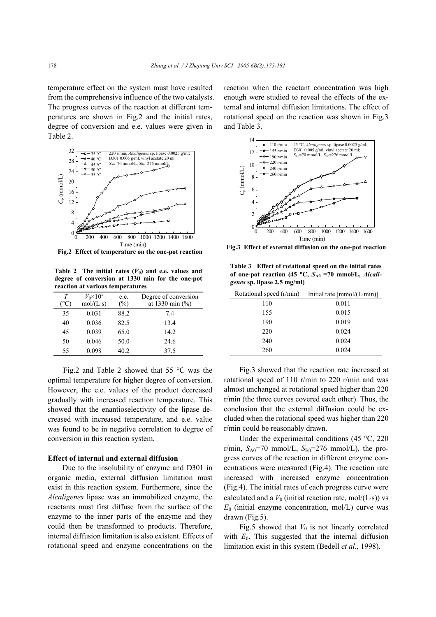temperature effect on the system must have resulted from the comprehensive influence of the two catalysts. The progress curves of the reaction at different temperatures are shown in Fig.2 and the initial rates, degree of conversion and e.e. values were given in Table 2.



**Fig.2 Effect of temperature on the one-pot reaction** 

**Table 2** The initial rates  $(V_0)$  and e.e. values and **degree of conversion at 1330 min for the one-pot reaction at various temperatures**

| Т<br>(°C) | $V_0 \times 10^5$<br>$mol/(L-s)$ | e.e.<br>$(\%)$ | Degree of conversion<br>at 1330 min $(\% )$ |
|-----------|----------------------------------|----------------|---------------------------------------------|
| 35        | 0.031                            | 88.2           | 74                                          |
| 40        | 0.036                            | 82.5           | 13.4                                        |
| 45        | 0.039                            | 65.0           | 14.2                                        |
| 50        | 0.046                            | 50.0           | 24.6                                        |
| 55        | 0.098                            | 40.2           | 37.5                                        |

Fig.2 and Table 2 showed that 55 °C was the optimal temperature for higher degree of conversion. However, the e.e. values of the product decreased gradually with increased reaction temperature. This showed that the enantioselectivity of the lipase decreased with increased temperature, and e.e. value was found to be in negative correlation to degree of conversion in this reaction system.

#### **Effect of internal and external diffusion**

Due to the insolubility of enzyme and D301 in organic media, external diffusion limitation must exist in this reaction system. Furthermore, since the *Alcaligenes* lipase was an immobilized enzyme, the reactants must first diffuse from the surface of the enzyme to the inner parts of the enzyme and they could then be transformed to products. Therefore, internal diffusion limitation is also existent. Effects of rotational speed and enzyme concentrations on the

reaction when the reactant concentration was high enough were studied to reveal the effects of the external and internal diffusion limitations. The effect of rotational speed on the reaction was shown in Fig.3 and Table 3.



**Fig.3 Effect of external diffusion on the one-pot reaction**

**Table 3 Effect of rotational speed on the initial rates** of one-pot reaction (45 °C,  $S_{A0}$  =70 mmol/L, *Alcaligenes* **sp. lipase 2.5 mg/ml)**

| Rotational speed (r/min) | Initial rate $[mmol/(L·min)]$ |
|--------------------------|-------------------------------|
| 110                      | 0.011                         |
| 155                      | 0.015                         |
| 190                      | 0.019                         |
| 220                      | 0.024                         |
| 240                      | 0.024                         |
| 260                      | 0.024                         |

Fig.3 showed that the reaction rate increased at rotational speed of 110 r/min to 220 r/min and was almost unchanged at rotational speed higher than 220 r/min (the three curves covered each other). Thus, the conclusion that the external diffusion could be excluded when the rotational speed was higher than 220 r/min could be reasonably drawn.

Under the experimental conditions (45  $\degree$ C, 220 r/min,  $S_{A0}$ =70 mmol/L,  $S_{B0}$ =276 mmol/L), the progress curves of the reaction in different enzyme concentrations were measured (Fig.4). The reaction rate increased with increased enzyme concentration (Fig.4). The initial rates of each progress curve were calculated and a  $V_0$  (initial reaction rate, mol/(L⋅s)) vs  $E_0$  (initial enzyme concentration, mol/L) curve was drawn (Fig.5).

Fig.5 showed that  $V_0$  is not linearly correlated with  $E_0$ . This suggested that the internal diffusion limitation exist in this system (Bedell *et al*., 1998).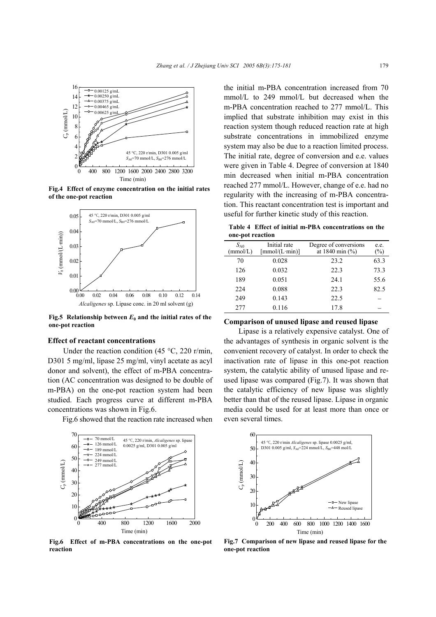

**Fig.4 Effect of enzyme concentration on the initial rates of the one-pot reaction** 



**Fig.5** Relationship between  $E_0$  and the initial rates of the **one-pot reaction** 

#### **Effect of reactant concentrations**

Under the reaction condition (45 °C, 220 r/min, D301 5 mg/ml, lipase 25 mg/ml, vinyl acetate as acyl donor and solvent), the effect of m-PBA concentration (AC concentration was designed to be double of m-PBA) on the one-pot reaction system had been studied. Each progress curve at different m-PBA concentrations was shown in Fig.6.

Fig.6 showed that the reaction rate increased when



**Fig.6 Effect of m-PBA concentrations on the one-pot reaction** 

the initial m-PBA concentration increased from 70 mmol/L to 249 mmol/L but decreased when the m-PBA concentration reached to 277 mmol/L. This implied that substrate inhibition may exist in this reaction system though reduced reaction rate at high substrate concentrations in immobilized enzyme system may also be due to a reaction limited process. The initial rate, degree of conversion and e.e. values were given in Table 4. Degree of conversion at 1840 min decreased when initial m-PBA concentration reached 277 mmol/L. However, change of e.e. had no regularity with the increasing of m-PBA concentration. This reactant concentration test is important and useful for further kinetic study of this reaction.

**Table 4 Effect of initial m-PBA concentrations on the one-pot reaction**

| Initial rate<br>$S_{A0}$<br>[mmol/(L·min)]<br>(mmol/L) | Degree of conversions<br>at 1840 min $(\% )$ | e.e.<br>$(\%)$ |
|--------------------------------------------------------|----------------------------------------------|----------------|
| 0.028<br>70                                            | 23.2                                         | 63.3           |
| 0.032<br>126                                           | 22.3                                         | 73.3           |
| 189<br>0.051                                           | 24.1                                         | 55.6           |
| 0.088<br>224                                           | 22.3                                         | 82.5           |
| 249<br>0.143                                           | 22.5                                         |                |
| 277<br>0.116                                           | 17.8                                         |                |

### **Comparison of unused lipase and reused lipase**

Lipase is a relatively expensive catalyst. One of the advantages of synthesis in organic solvent is the convenient recovery of catalyst. In order to check the inactivation rate of lipase in this one-pot reaction system, the catalytic ability of unused lipase and reused lipase was compared (Fig.7). It was shown that the catalytic efficiency of new lipase was slightly better than that of the reused lipase. Lipase in organic media could be used for at least more than once or even several times.



**Fig.7 Comparison of new lipase and reused lipase for the one-pot reaction**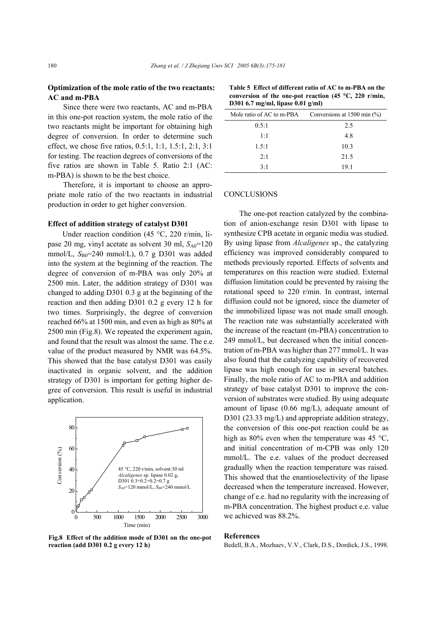## **Optimization of the mole ratio of the two reactants: AC and m-PBA**

Since there were two reactants, AC and m-PBA in this one-pot reaction system, the mole ratio of the two reactants might be important for obtaining high degree of conversion. In order to determine such effect, we chose five ratios, 0.5:1, 1:1, 1.5:1, 2:1, 3:1 for testing. The reaction degrees of conversions of the five ratios are shown in Table 5. Ratio 2:1 (AC: m-PBA) is shown to be the best choice.

Therefore, it is important to choose an appropriate mole ratio of the two reactants in industrial production in order to get higher conversion.

#### **Effect of addition strategy of catalyst D301**

Under reaction condition (45 °C, 220 r/min, lipase 20 mg, vinyl acetate as solvent 30 ml,  $S_{A0}$ =120 mmol/L, S<sub>B0</sub>=240 mmol/L), 0.7 g D301 was added into the system at the beginning of the reaction. The degree of conversion of m-PBA was only 20% at 2500 min. Later, the addition strategy of D301 was changed to adding D301 0.3 g at the beginning of the reaction and then adding D301 0.2 g every 12 h for two times. Surprisingly, the degree of conversion reached 66% at 1500 min, and even as high as 80% at 2500 min (Fig.8). We repeated the experiment again, and found that the result was almost the same. The e.e. value of the product measured by NMR was 64.5%. This showed that the base catalyst D301 was easily inactivated in organic solvent, and the addition strategy of D301 is important for getting higher degree of conversion. This result is useful in industrial application.



**Fig.8 Effect of the addition mode of D301 on the one-pot reaction (add D301 0.2 g every 12 h)** 

| $10301$ 0.7 $III_2/III_3$ , $III_4$ $III_5$ 0.01 $2/III_7$ |                                                                   |  |
|------------------------------------------------------------|-------------------------------------------------------------------|--|
|                                                            | Mole ratio of AC to m-PBA Conversions at $1500 \text{ min } (\%)$ |  |
| 0.5:1                                                      | 2.5                                                               |  |
| $1-1$                                                      | 48                                                                |  |
| 1.5:1                                                      | 10.3                                                              |  |
| 2:1                                                        | 21.5                                                              |  |

 $3:1$  19.1

#### **Table 5 Effect of different ratio of AC to m-PBA on the conversion of the one-pot reaction (45** °**C, 220 r/min, D301 6.7 mg/ml, lipase 0.01 g/ml)**

#### **CONCLUSIONS**

The one-pot reaction catalyzed by the combination of anion-exchange resin D301 with lipase to synthesize CPB acetate in organic media was studied. By using lipase from *Alcaligenes* sp., the catalyzing efficiency was improved considerably compared to methods previously reported. Effects of solvents and temperatures on this reaction were studied. External diffusion limitation could be prevented by raising the rotational speed to 220 r/min. In contrast, internal diffusion could not be ignored, since the diameter of the immobilized lipase was not made small enough. The reaction rate was substantially accelerated with the increase of the reactant (m-PBA) concentration to 249 mmol/L, but decreased when the initial concentration of m-PBA was higher than 277 mmol/L. It was also found that the catalyzing capability of recovered lipase was high enough for use in several batches. Finally, the mole ratio of AC to m-PBA and addition strategy of base catalyst D301 to improve the conversion of substrates were studied. By using adequate amount of lipase (0.66 mg/L), adequate amount of D301 (23.33 mg/L) and appropriate addition strategy, the conversion of this one-pot reaction could be as high as 80% even when the temperature was 45 °C. and initial concentration of m-CPB was only 120 mmol/L. The e.e. values of the product decreased gradually when the reaction temperature was raised. This showed that the enantioselectivity of the lipase decreased when the temperature increased. However, change of e.e. had no regularity with the increasing of m-PBA concentration. The highest product e.e. value we achieved was 88.2%.

#### **References**

Bedell, B.A., Mozhaev, V.V., Clark, D.S., Dordick, J.S., 1998.